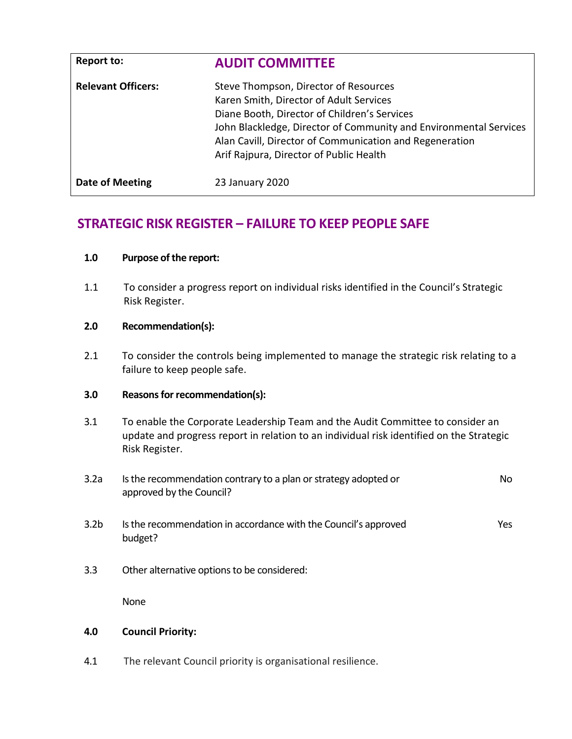| <b>Report to:</b>         | <b>AUDIT COMMITTEE</b>                                                                                                                                                                                                                                                                                      |
|---------------------------|-------------------------------------------------------------------------------------------------------------------------------------------------------------------------------------------------------------------------------------------------------------------------------------------------------------|
| <b>Relevant Officers:</b> | Steve Thompson, Director of Resources<br>Karen Smith, Director of Adult Services<br>Diane Booth, Director of Children's Services<br>John Blackledge, Director of Community and Environmental Services<br>Alan Cavill, Director of Communication and Regeneration<br>Arif Rajpura, Director of Public Health |
| Date of Meeting           | 23 January 2020                                                                                                                                                                                                                                                                                             |

# **STRATEGIC RISK REGISTER – FAILURE TO KEEP PEOPLE SAFE**

| 1.0 | <b>Purpose of the report:</b> |
|-----|-------------------------------|
|-----|-------------------------------|

1.1 To consider a progress report on individual risks identified in the Council's Strategic Risk Register.

# **2.0 Recommendation(s):**

2.1 To consider the controls being implemented to manage the strategic risk relating to a failure to keep people safe.

# **3.0 Reasons for recommendation(s):**

- 3.1 To enable the Corporate Leadership Team and the Audit Committee to consider an update and progress report in relation to an individual risk identified on the Strategic Risk Register.
- 3.2a Is the recommendation contrary to a plan or strategy adopted or approved by the Council? No 3.2b Is the recommendation in accordance with the Council's approved budget? Yes
- 3.3 Other alternative options to be considered:

None

# **4.0 Council Priority:**

4.1 The relevant Council priority is organisational resilience.